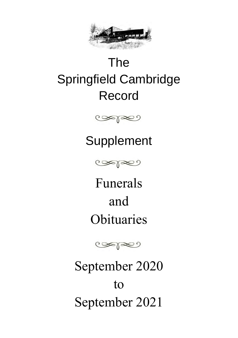

# The Springfield Cambridge Record



## Supplement



Funerals and **Obituaries** 



September 2020 to September 2021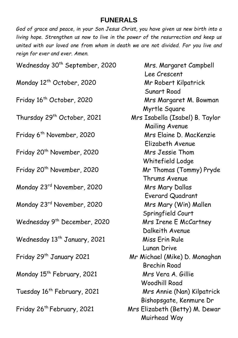#### **FUNERALS**

*God of grace and peace, in your Son Jesus Christ, you have given us new birth into a living hope. Strengthen us now to live in the power of the resurrection and keep us united with our loved one from whom in death we are not divided. For you live and reign for ever and ever. Amen.* 

| Wednesday 30 <sup>th</sup> September, 2020 | Mrs. Margaret Campbell          |
|--------------------------------------------|---------------------------------|
|                                            | Lee Crescent                    |
| Monday 12 <sup>th</sup> October, 2020      | Mr Robert Kilpatrick            |
|                                            | Sunart Road                     |
| Friday 16 <sup>th</sup> October, 2020      | Mrs Margaret M. Bowman          |
|                                            | Myrtle Square                   |
| Thursday 29 <sup>th</sup> October, 2021    | Mrs Isabella (Isabel) B. Taylor |
|                                            | Mailing Avenue                  |
| Friday 6 <sup>th</sup> November, 2020      | Mrs Elaine D. MacKenzie         |
|                                            | Elizabeth Avenue                |
| Friday 20 <sup>th</sup> November, 2020     | Mrs Jessie Thom                 |
|                                            | Whitefield Lodge                |
| Friday 20 <sup>th</sup> November, 2020     | Mr Thomas (Tommy) Pryde         |
|                                            | Thrums Avenue                   |
| Monday 23rd November, 2020                 | Mrs Mary Dallas                 |
|                                            | Everard Quadrant                |
| Monday 23rd November, 2020                 | Mrs Mary (Win) Mallen           |
|                                            | Springfield Court               |
| Wednesday 9 <sup>th</sup> December, 2020   | Mrs Irene E McCartney           |
|                                            | Dalkeith Avenue                 |
| Wednesday 13 <sup>th</sup> January, 2021   | Miss Erin Rule                  |
|                                            | Lunan Drive                     |
| Friday 29 <sup>th</sup> January 2021       | Mr Michael (Mike) D. Monaghan   |
|                                            | <b>Brechin Road</b>             |
| Monday 15 <sup>th</sup> February, 2021     | Mrs Vera A. Gillie              |
|                                            | <b>Woodhill Road</b>            |
| Tuesday 16 <sup>th</sup> February, 2021    | Mrs Annie (Nan) Kilpatrick      |
|                                            | Bishopsgate, Kenmure Dr         |
| Friday 26 <sup>th</sup> February, 2021     | Mrs Elizabeth (Betty) M. Dewar  |
|                                            | Muirhead Way                    |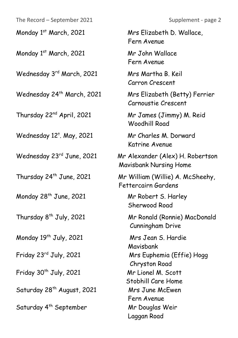The Record – September 2021 Supplement - page 2

Monday 1<sup>st</sup> March, 2021 Mr John Wallace

Wednesday 3<sup>rd</sup> March, 2021 Mrs Martha B. Keil

Wednesday 24<sup>th</sup> March, 2021 Mrs Elizabeth (Betty) Ferrier

Thursday 22nd April, 2021 Mr James (Jimmy) M. Reid

Wednesday  $12^{\dagger}$ . May, 2021

Monday 28<sup>th</sup> June, 2021 Mr Robert S. Harley

Monday 19<sup>th</sup> July, 2021 Mrs Jean S. Hardie

Friday 30<sup>th</sup> July, 2021 Mr Lionel M. Scott

Saturday 28<sup>th</sup> August, 2021 Mrs June McEwen

Saturday 4<sup>th</sup> September Mr Douglas Weir

Monday 1<sup>st</sup> March, 2021 Mrs Elizabeth D. Wallace, Fern Avenue

Fern Avenue

Carron Crescent

Carnoustie Crescent

Woodhill Road

Mr Charles M. Dorward Katrine Avenue

Wednesday 23rd June, 2021 Mr Alexander (Alex) H. Robertson Mavisbank Nursing Home

Thursday 24th June, 2021 Mr William (Willie) A. McSheehy, Fettercairn Gardens

Sherwood Road

Thursday 8th July, 2021 Mr Ronald (Ronnie) MacDonald Cunningham Drive

 Mavisbank Friday 23<sup>rd</sup> July, 2021 Mrs Euphemia (Effie) Hogg Chryston Road Stobhill Care Home Fern Avenue Laggan Road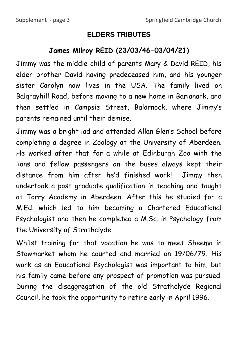#### **ELDERS TRIBUTES**

### **James Milroy REID (23/03/46-03/04/21)**

Jimmy was the middle child of parents Mary & David REID, his elder brother David having predeceased him, and his younger sister Carolyn now lives in the USA. The family lived on Balgrayhill Road, before moving to a new home in Barlanark, and then settled in Campsie Street, Balornock, where Jimmy's parents remained until their demise.

Jimmy was a bright lad and attended Allan Glen's School before completing a degree in Zoology at the University of Aberdeen. He worked after that for a while at Edinburgh Zoo with the lions and fellow passengers on the buses always kept their distance from him after he'd finished work! Jimmy then undertook a post graduate qualification in teaching and taught at Torry Academy in Aberdeen. After this he studied for a M.Ed. which led to him becoming a Chartered Educational Psychologist and then he completed a M.Sc. in Psychology from the University of Strathclyde.

Whilst training for that vocation he was to meet Sheema in Stowmarket whom he courted and married on 19/06/79. His work as an Educational Psychologist was important to him, but his family came before any prospect of promotion was pursued. During the disaggregation of the old Strathclyde Regional Council, he took the opportunity to retire early in April 1996.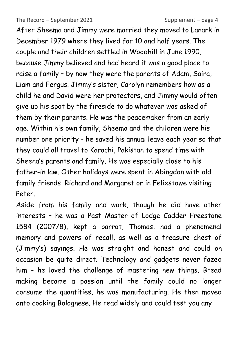The Record – September 2021 Supplement – page 4

After Sheema and Jimmy were married they moved to Lanark in December 1979 where they lived for 10 and half years. The couple and their children settled in Woodhill in June 1990, because Jimmy believed and had heard it was a good place to raise a family – by now they were the parents of Adam, Saira, Liam and Fergus. Jimmy's sister, Carolyn remembers how as a child he and David were her protectors, and Jimmy would often give up his spot by the fireside to do whatever was asked of them by their parents. He was the peacemaker from an early age. Within his own family, Sheema and the children were his number one priority - he saved his annual leave each year so that they could all travel to Karachi, Pakistan to spend time with Sheena's parents and family. He was especially close to his father-in law. Other holidays were spent in Abingdon with old family friends, Richard and Margaret or in Felixstowe visiting Peter.

Aside from his family and work, though he did have other interests – he was a Past Master of Lodge Cadder Freestone 1584 (2007/8), kept a parrot, Thomas, had a phenomenal memory and powers of recall, as well as a treasure chest of (Jimmy's) sayings. He was straight and honest and could on occasion be quite direct. Technology and gadgets never fazed him - he loved the challenge of mastering new things. Bread making became a passion until the family could no longer consume the quantities, he was manufacturing. He then moved onto cooking Bolognese. He read widely and could test you any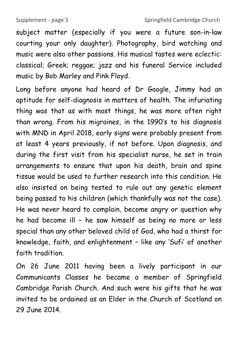subject matter (especially if you were a future son-in-law courting your only daughter). Photography, bird watching and music were also other passions. His musical tastes were eclectic: classical; Greek; reggae; jazz and his funeral Service included music by Bob Marley and Pink Floyd.

Long before anyone had heard of Dr Google, Jimmy had an aptitude for self-diagnosis in matters of health. The infuriating thing was that as with most things, he was more often right than wrong. From his migraines, in the 1990's to his diagnosis with MND in April 2018, early signs were probably present from at least 4 years previously, if not before. Upon diagnosis, and during the first visit from his specialist nurse, he set in train arrangements to ensure that upon his death, brain and spine tissue would be used to further research into this condition. He also insisted on being tested to rule out any genetic element being passed to his children (which thankfully was not the case). He was never heard to complain, become angry or question why he had become ill – he saw himself as being no more or less special than any other beloved child of God, who had a thirst for knowledge, faith, and enlightenment – like any 'Sufi' of another faith tradition.

On 26 June 2011 having been a lively participant in our Communicants Classes he became a member of Springfield Cambridge Parish Church. And such were his gifts that he was invited to be ordained as an Elder in the Church of Scotland on 29 June 2014.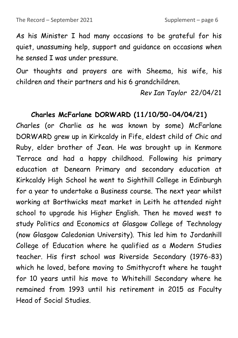As his Minister I had many occasions to be grateful for his quiet, unassuming help, support and guidance on occasions when he sensed I was under pressure.

Our thoughts and prayers are with Sheema, his wife, his children and their partners and his 6 grandchildren.

 *Rev Ian Taylor* 22/04/21

#### **Charles McFarlane DORWARD (11/10/50-04/04/21)**

Charles (or Charlie as he was known by some) McFarlane DORWARD grew up in Kirkcaldy in Fife, eldest child of Chic and Ruby, elder brother of Jean. He was brought up in Kenmore Terrace and had a happy childhood. Following his primary education at Denearn Primary and secondary education at Kirkcaldy High School he went to Sighthill College in Edinburgh for a year to undertake a Business course. The next year whilst working at Borthwicks meat market in Leith he attended night school to upgrade his Higher English. Then he moved west to study Politics and Economics at Glasgow College of Technology (now Glasgow Caledonian University). This led him to Jordanhill College of Education where he qualified as a Modern Studies teacher. His first school was Riverside Secondary (1976-83) which he loved, before moving to Smithycroft where he taught for 10 years until his move to Whitehill Secondary where he remained from 1993 until his retirement in 2015 as Faculty Head of Social Studies.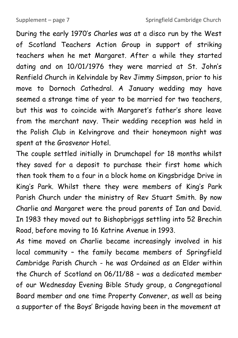During the early 1970's Charles was at a disco run by the West of Scotland Teachers Action Group in support of striking teachers when he met Margaret. After a while they started dating and on 10/01/1976 they were married at St. John's Renfield Church in Kelvindale by Rev Jimmy Simpson, prior to his move to Dornoch Cathedral. A January wedding may have seemed a strange time of year to be married for two teachers, but this was to coincide with Margaret's father's shore leave from the merchant navy. Their wedding reception was held in the Polish Club in Kelvingrove and their honeymoon night was spent at the Grosvenor Hotel.

The couple settled initially in Drumchapel for 18 months whilst they saved for a deposit to purchase their first home which then took them to a four in a block home on Kingsbridge Drive in King's Park. Whilst there they were members of King's Park Parish Church under the ministry of Rev Stuart Smith. By now Charlie and Margaret were the proud parents of Ian and David. In 1983 they moved out to Bishopbriggs settling into 52 Brechin Road, before moving to 16 Katrine Avenue in 1993.

As time moved on Charlie became increasingly involved in his local community – the family became members of Springfield Cambridge Parish Church - he was Ordained as an Elder within the Church of Scotland on 06/11/88 – was a dedicated member of our Wednesday Evening Bible Study group, a Congregational Board member and one time Property Convener, as well as being a supporter of the Boys' Brigade having been in the movement at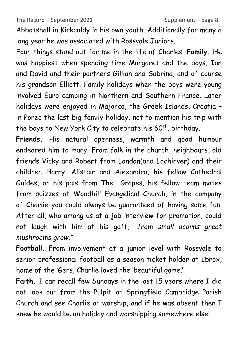Abbotshall in Kirkcaldy in his own youth. Additionally for many a long year he was associated with Rossvale Juniors.

Four things stand out for me in the life of Charles. **Family.** He was happiest when spending time Margaret and the boys, Ian and David and their partners Gillian and Sabrina, and of course his grandson Elliott. Family holidays when the boys were young involved Euro camping in Northern and Southern France. Later holidays were enjoyed in Majorca, the Greek Islands, Croatia – in Porec the last big family holiday, not to mention his trip with the boys to New York City to celebrate his 60<sup>th</sup>, birthday.

**Friends.** His natural openness, warmth and good humour endeared him to many. From folk in the church, neighbours, old friends Vicky and Robert from London(and Lochinver) and their children Harry, Alistair and Alexandra, his fellow Cathedral Guides, or his pals from The Grapes, his fellow team mates from quizzes at Woodhill Evangelical Church, in the company of Charlie you could always be guaranteed of having some fun. After all, who among us at a job interview for promotion, could not laugh with him at his gaff, *"from small acorns great mushrooms grow."*

**Football.** From involvement at a junior level with Rossvale to senior professional football as a season ticket holder at Ibrox, home of the 'Gers, Charlie loved the 'beautiful game.'

**Faith.** I can recall few Sundays in the last 15 years where I did not look out from the Pulpit at Springfield Cambridge Parish Church and see Charlie at worship, and if he was absent then I knew he would be on holiday and worshipping somewhere else!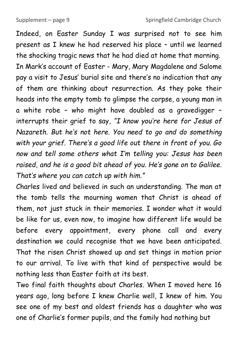Indeed, on Easter Sunday I was surprised not to see him present as I knew he had reserved his place – until we learned the shocking tragic news that he had died at home that morning. In Mark's account of Easter - Mary, Mary Magdalene and Salome pay a visit to Jesus' burial site and there's no indication that any of them are thinking about resurrection. As they poke their heads into the empty tomb to glimpse the corpse, a young man in a white robe – who might have doubled as a gravedigger – interrupts their grief to say, *"I know you're here for Jesus of Nazareth. But he's not here. You need to go and do something with your grief. There's a good life out there in front of you. Go now and tell some others what I'm telling you: Jesus has been raised, and he is a good bit ahead of you. He's gone on to Galilee. That's where you can catch up with him."*

Charles lived and believed in such an understanding. The man at the tomb tells the mourning women that Christ is ahead of them, not just stuck in their memories. I wonder what it would be like for us, even now, to imagine how different life would be before every appointment, every phone call and every destination we could recognise that we have been anticipated. That the risen Christ showed up and set things in motion prior to our arrival. To live with that kind of perspective would be nothing less than Easter faith at its best.

Two final faith thoughts about Charles. When I moved here 16 years ago, long before I knew Charlie well, I knew of him. You see one of my best and oldest friends has a daughter who was one of Charlie's former pupils, and the family had nothing but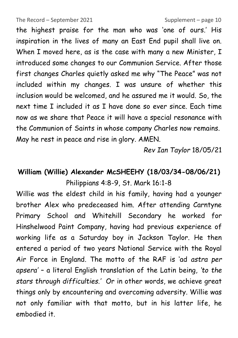The Record – September 2021 Supplement – page 10

the highest praise for the man who was 'one of ours.' His inspiration in the lives of many an East End pupil shall live on. When I moved here, as is the case with many a new Minister, I introduced some changes to our Communion Service. After those first changes Charles quietly asked me why "The Peace" was not included within my changes. I was unsure of whether this inclusion would be welcomed, and he assured me it would. So, the next time I included it as I have done so ever since. Each time now as we share that Peace it will have a special resonance with the Communion of Saints in whose company Charles now remains. May he rest in peace and rise in glory. AMEN.

*Rev Ian Taylor* 18/05/21

## **William (Willie) Alexander McSHEEHY (18/03/34-08/06/21)** Philippians 4:8-9, St. Mark 16:1-8

Willie was the eldest child in his family, having had a younger brother Alex who predeceased him. After attending Carntyne Primary School and Whitehill Secondary he worked for Hinshelwood Paint Company, having had previous experience of working life as a Saturday boy in Jackson Taylor. He then entered a period of two years National Service with the Royal Air Force in England. The motto of the RAF is 'ad *astra per apsera'* – a literal English translation of the Latin being, *'to the stars through difficulties.'* Or in other words, we achieve great things only by encountering and overcoming adversity. Willie was not only familiar with that motto, but in his latter life, he embodied it.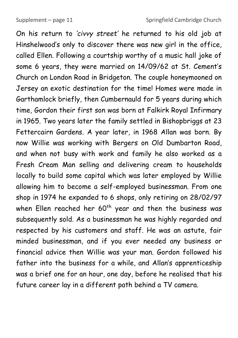On his return to *'civvy street'* he returned to his old job at Hinshelwood's only to discover there was new girl in the office, called Ellen. Following a courtship worthy of a music hall joke of some 6 years, they were married on 14/09/62 at St. Cement's Church on London Road in Bridgeton. The couple honeymooned on Jersey an exotic destination for the time! Homes were made in Garthamlock briefly, then Cumbernauld for 5 years during which time, Gordon their first son was born at Falkirk Royal Infirmary in 1965. Two years later the family settled in Bishopbriggs at 23 Fettercairn Gardens. A year later, in 1968 Allan was born. By now Willie was working with Bergers on Old Dumbarton Road, and when not busy with work and family he also worked as a Fresh Cream Man selling and delivering cream to households locally to build some capital which was later employed by Willie allowing him to become a self-employed businessman. From one shop in 1974 he expanded to 6 shops, only retiring on 28/02/97 when Ellen reached her  $60<sup>th</sup>$  year and then the business was subsequently sold. As a businessman he was highly regarded and respected by his customers and staff. He was an astute, fair minded businessman, and if you ever needed any business or financial advice then Willie was your man. Gordon followed his father into the business for a while, and Allan's apprenticeship was a brief one for an hour, one day, before he realised that his future career lay in a different path behind a TV camera.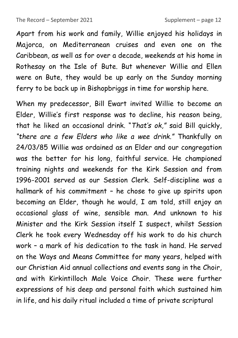Apart from his work and family, Willie enjoyed his holidays in Majorca, on Mediterranean cruises and even one on the Caribbean, as well as for over a decade, weekends at his home in Rothesay on the Isle of Bute. But whenever Willie and Ellen were on Bute, they would be up early on the Sunday morning ferry to be back up in Bishopbriggs in time for worship here.

When my predecessor, Bill Ewart invited Willie to become an Elder, Willie's first response was to decline, his reason being, that he liked an occasional drink. "*That's ok,"* said Bill quickly, *"there are a few Elders who like a wee drink."* Thankfully on 24/03/85 Willie was ordained as an Elder and our congregation was the better for his long, faithful service. He championed training nights and weekends for the Kirk Session and from 1996-2001 served as our Session Clerk. Self-discipline was a hallmark of his commitment – he chose to give up spirits upon becoming an Elder, though he would, I am told, still enjoy an occasional glass of wine, sensible man. And unknown to his Minister and the Kirk Session itself I suspect, whilst Session Clerk he took every Wednesday off his work to do his church work – a mark of his dedication to the task in hand. He served on the Ways and Means Committee for many years, helped with our Christian Aid annual collections and events sang in the Choir, and with Kirkintilloch Male Voice Choir. These were further expressions of his deep and personal faith which sustained him in life, and his daily ritual included a time of private scriptural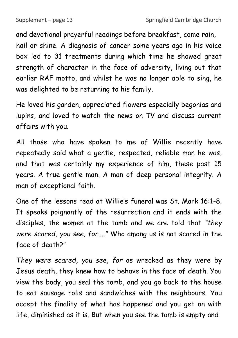and devotional prayerful readings before breakfast, come rain, hail or shine. A diagnosis of cancer some years ago in his voice box led to 31 treatments during which time he showed great strength of character in the face of adversity, living out that earlier RAF motto, and whilst he was no longer able to sing, he was delighted to be returning to his family.

He loved his garden, appreciated flowers especially begonias and lupins, and loved to watch the news on TV and discuss current affairs with you.

All those who have spoken to me of Willie recently have repeatedly said what a gentle, respected, reliable man he was, and that was certainly my experience of him, these past 15 years. A true gentle man. A man of deep personal integrity. A man of exceptional faith.

One of the lessons read at Willie's funeral was St. Mark 16:1-8. It speaks poignantly of the resurrection and it ends with the disciples, the women at the tomb and we are told that *"they were scared, you see, for...."* Who among us is not scared in the face of death?"

*They were scared, you see, for* as wrecked as they were by Jesus death, they knew how to behave in the face of death. You view the body, you seal the tomb, and you go back to the house to eat sausage rolls and sandwiches with the neighbours. You accept the finality of what has happened and you get on with life, diminished as it is. But when you see the tomb is empty and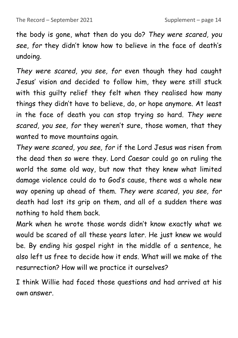the body is gone, what then do you do? *They were scared, you see*, *for* they didn't know how to believe in the face of death's undoing.

*They were scared, you see, for* even though they had caught Jesus' vision and decided to follow him, they were still stuck with this guilty relief they felt when they realised how many things they didn't have to believe, do, or hope anymore. At least in the face of death you can stop trying so hard. *They were scared, you see, for* they weren't sure, those women, that they wanted to move mountains again.

*They were scared, you see, for* if the Lord Jesus was risen from the dead then so were they. Lord Caesar could go on ruling the world the same old way, but now that they knew what limited damage violence could do to God's cause, there was a whole new way opening up ahead of them. *They were scared, you see, for*  death had lost its grip on them, and all of a sudden there was nothing to hold them back.

Mark when he wrote those words didn't know exactly what we would be scared of all these years later. He just knew we would be. By ending his gospel right in the middle of a sentence, he also left us free to decide how it ends. What will we make of the resurrection? How will we practice it ourselves?

I think Willie had faced those questions and had arrived at his own answer.